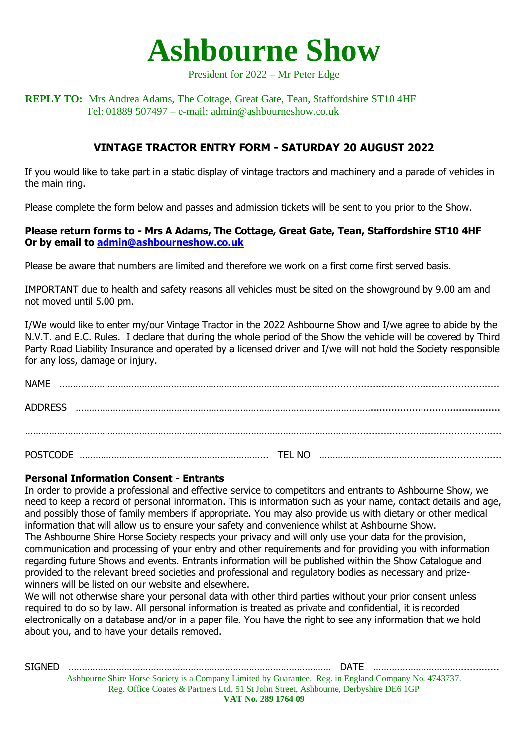

#### President for 2022 – Mr Peter Edge

### **REPLY TO:** Mrs Andrea Adams, The Cottage, Great Gate, Tean, Staffordshire ST10 4HF Tel: 01889 507497 – e-mail: admin@ashbourneshow.co.uk

# **VINTAGE TRACTOR ENTRY FORM - SATURDAY 20 AUGUST 2022**

If you would like to take part in a static display of vintage tractors and machinery and a parade of vehicles in the main ring.

Please complete the form below and passes and admission tickets will be sent to you prior to the Show.

### **Please return forms to - Mrs A Adams, The Cottage, Great Gate, Tean, Staffordshire ST10 4HF Or by email to [admin@ashbourneshow.co.uk](mailto:admin@ashbourneshow.co.uk)**

Please be aware that numbers are limited and therefore we work on a first come first served basis.

IMPORTANT due to health and safety reasons all vehicles must be sited on the showground by 9.00 am and not moved until 5.00 pm.

I/We would like to enter my/our Vintage Tractor in the 2022 Ashbourne Show and I/we agree to abide by the N.V.T. and E.C. Rules. I declare that during the whole period of the Show the vehicle will be covered by Third Party Road Liability Insurance and operated by a licensed driver and I/we will not hold the Society responsible for any loss, damage or injury.

| <b>NAME</b>     |        |  |
|-----------------|--------|--|
| <b>ADDRESS</b>  |        |  |
|                 |        |  |
| <b>POSTCODE</b> | TEL NO |  |

#### **Personal Information Consent - Entrants**

In order to provide a professional and effective service to competitors and entrants to Ashbourne Show, we need to keep a record of personal information. This is information such as your name, contact details and age, and possibly those of family members if appropriate. You may also provide us with dietary or other medical information that will allow us to ensure your safety and convenience whilst at Ashbourne Show. The Ashbourne Shire Horse Society respects your privacy and will only use your data for the provision, communication and processing of your entry and other requirements and for providing you with information regarding future Shows and events. Entrants information will be published within the Show Catalogue and provided to the relevant breed societies and professional and regulatory bodies as necessary and prizewinners will be listed on our website and elsewhere.

We will not otherwise share your personal data with other third parties without your prior consent unless required to do so by law. All personal information is treated as private and confidential, it is recorded electronically on a database and/or in a paper file. You have the right to see any information that we hold about you, and to have your details removed.

Ashbourne Shire Horse Society is a Company Limited by Guarantee. Reg. in England Company No. 4743737. Reg. Office Coates & Partners Ltd, 51 St John Street, Ashbourne, Derbyshire DE6 1GP **VAT No. 289 1764 09** SIGNED ……………………………………………………………………………………… DATE …………………………….............